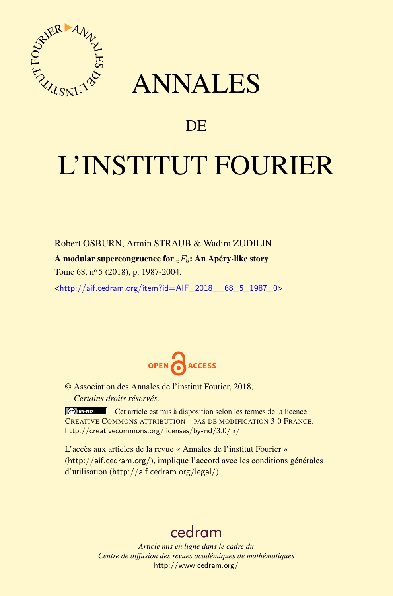

## ANNALES

### **DE**

# L'INSTITUT FOURIER

Robert OSBURN, Armin STRAUB & Wadim ZUDILIN A modular supercongruence for <sup>6</sup>*F*5: An Apéry-like story Tome 68, nº 5 (2018), p. 1987-2004.

<[http://aif.cedram.org/item?id=AIF\\_2018\\_\\_68\\_5\\_1987\\_0](http://aif.cedram.org/item?id=AIF_2018__68_5_1987_0)>



© Association des Annales de l'institut Fourier, 2018, *Certains droits réservés.*

Cet article est mis à disposition selon les termes de la licence CREATIVE COMMONS ATTRIBUTION – PAS DE MODIFICATION 3.0 FRANCE. <http://creativecommons.org/licenses/by-nd/3.0/fr/>

L'accès aux articles de la revue « Annales de l'institut Fourier » (<http://aif.cedram.org/>), implique l'accord avec les conditions générales d'utilisation (<http://aif.cedram.org/legal/>).

## [cedram](http://www.cedram.org/)

*Article mis en ligne dans le cadre du Centre de diffusion des revues académiques de mathématiques* <http://www.cedram.org/>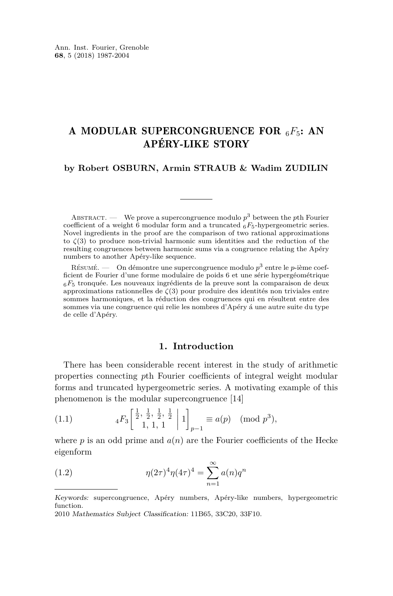#### A MODULAR SUPERCONGRUENCE FOR <sup>6</sup>*F*5: AN APÉRY-LIKE STORY

#### **by Robert OSBURN, Armin STRAUB & Wadim ZUDILIN**

ABSTRACT.  $\qquad$  We prove a supercongruence modulo  $p^3$  between the *p*th Fourier coefficient of a weight 6 modular form and a truncated <sup>6</sup>*F*5-hypergeometric series. Novel ingredients in the proof are the comparison of two rational approximations to  $\zeta(3)$  to produce non-trivial harmonic sum identities and the reduction of the resulting congruences between harmonic sums via a congruence relating the Apéry numbers to another Apéry-like sequence.

Résumé. — On démontre une supercongruence modulo *p* <sup>3</sup> entre le *p*-ième coefficient de Fourier d'une forme modulaire de poids 6 et une série hypergéométrique <sup>6</sup>*F*<sup>5</sup> tronquée. Les nouveaux ingrédients de la preuve sont la comparaison de deux approximations rationnelles de *ζ*(3) pour produire des identités non triviales entre sommes harmoniques, et la réduction des congruences qui en résultent entre des sommes via une congruence qui relie les nombres d'Apéry á une autre suite du type de celle d'Apéry.

#### **1. Introduction**

There has been considerable recent interest in the study of arithmetic properties connecting *p*th Fourier coefficients of integral weight modular forms and truncated hypergeometric series. A motivating example of this phenomenon is the modular supercongruence [\[14\]](#page-17-0)

<span id="page-1-0"></span>(1.1) 
$$
{}_{4}F_{3}\left[\begin{array}{cc} \frac{1}{2}, \frac{1}{2}, \frac{1}{2}, \frac{1}{2} \\ 1, 1, 1 \end{array} \middle| 1\right]_{p-1} \equiv a(p) \pmod{p^{3}},
$$

where *p* is an odd prime and  $a(n)$  are the Fourier coefficients of the Hecke eigenform

<span id="page-1-1"></span>(1.2) 
$$
\eta(2\tau)^{4}\eta(4\tau)^{4} = \sum_{n=1}^{\infty} a(n)q^{n}
$$

Keywords: supercongruence, Apéry numbers, Apéry-like numbers, hypergeometric function.

<sup>2010</sup> Mathematics Subject Classification: 11B65, 33C20, 33F10.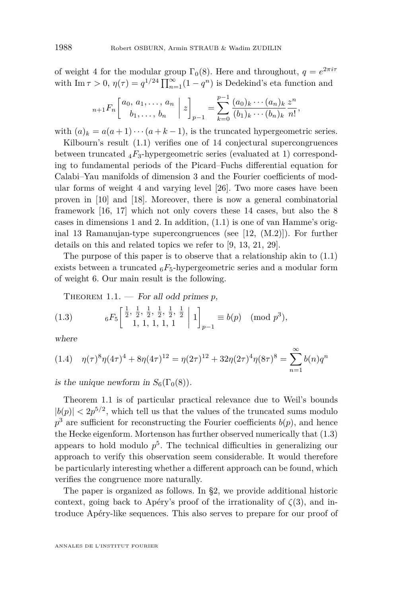of weight 4 for the modular group  $\Gamma_0(8)$ . Here and throughout,  $q = e^{2\pi i \tau}$ with  $\text{Im }\tau > 0$ ,  $\eta(\tau) = q^{1/24} \prod_{n=1}^{\infty} (1 - q^n)$  is Dedekind's eta function and

$$
{}_{n+1}F_n\left[\begin{array}{c} a_0, a_1, \ldots, a_n \\ b_1, \ldots, b_n \end{array} \middle| z \right]_{p-1} = \sum_{k=0}^{p-1} \frac{(a_0)_k \cdots (a_n)_k}{(b_1)_k \cdots (b_n)_k} \frac{z^n}{n!},
$$

with  $(a)_k = a(a+1)\cdots(a+k-1)$ , is the truncated hypergeometric series.

Kilbourn's result [\(1.1\)](#page-1-0) verifies one of 14 conjectural supercongruences between truncated  $_4F_3$ -hypergeometric series (evaluated at 1) corresponding to fundamental periods of the Picard–Fuchs differential equation for Calabi–Yau manifolds of dimension 3 and the Fourier coefficients of modular forms of weight 4 and varying level [\[26\]](#page-17-1). Two more cases have been proven in [\[10\]](#page-16-0) and [\[18\]](#page-17-2). Moreover, there is now a general combinatorial framework [\[16,](#page-17-3) [17\]](#page-17-4) which not only covers these 14 cases, but also the 8 cases in dimensions 1 and 2. In addition, [\(1.1\)](#page-1-0) is one of van Hamme's original 13 Ramanujan-type supercongruences (see [\[12,](#page-17-5) (M.2)]). For further details on this and related topics we refer to [\[9,](#page-16-1) [13,](#page-17-6) [21,](#page-17-7) [29\]](#page-17-8).

The purpose of this paper is to observe that a relationship akin to [\(1.1\)](#page-1-0) exists between a truncated  $_6F_5$ -hypergeometric series and a modular form of weight 6. Our main result is the following.

<span id="page-2-1"></span><span id="page-2-0"></span>THEOREM  $1.1.$  – For all odd primes  $p$ ,

(1.3) 
$$
{}_{6}F_{5}\left[\begin{array}{cc} \frac{1}{2}, \frac{1}{2}, \frac{1}{2}, \frac{1}{2}, \frac{1}{2}, \frac{1}{2} \\ 1, 1, 1, 1, 1 \end{array} \left|1\right]_{p-1} \equiv b(p) \pmod{p^{3}},
$$

where

<span id="page-2-2"></span>
$$
(1.4) \quad \eta(\tau)^8 \eta(4\tau)^4 + 8\eta(4\tau)^{12} = \eta(2\tau)^{12} + 32\eta(2\tau)^4 \eta(8\tau)^8 = \sum_{n=1}^{\infty} b(n)q^n
$$

is the unique newform in  $S_6(\Gamma_0(8))$ .

Theorem [1.1](#page-2-0) is of particular practical relevance due to Weil's bounds  $|b(p)| < 2p^{5/2}$ , which tell us that the values of the truncated sums modulo  $p^3$  are sufficient for reconstructing the Fourier coefficients  $b(p)$ , and hence the Hecke eigenform. Mortenson has further observed numerically that [\(1.3\)](#page-2-1) appears to hold modulo *p* 5 . The technical difficulties in generalizing our approach to verify this observation seem considerable. It would therefore be particularly interesting whether a different approach can be found, which verifies the congruence more naturally.

The paper is organized as follows. In [§2,](#page-4-0) we provide additional historic context, going back to Apéry's proof of the irrationality of  $\zeta(3)$ , and introduce Apéry-like sequences. This also serves to prepare for our proof of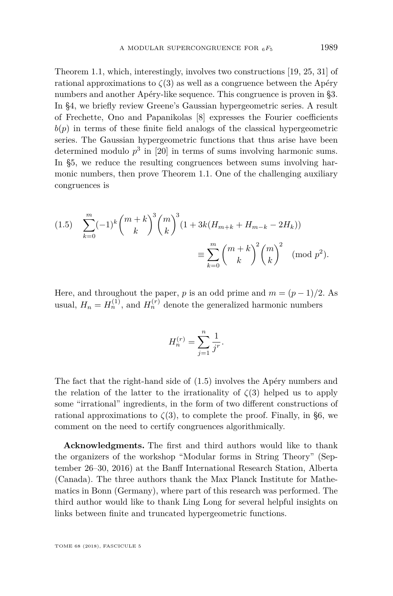Theorem [1.1,](#page-2-0) which, interestingly, involves two constructions [\[19,](#page-17-9) [25,](#page-17-10) [31\]](#page-17-11) of rational approximations to  $\zeta(3)$  as well as a congruence between the Apéry numbers and another Apéry-like sequence. This congruence is proven in [§3.](#page-6-0) In [§4,](#page-8-0) we briefly review Greene's Gaussian hypergeometric series. A result of Frechette, Ono and Papanikolas [\[8\]](#page-16-2) expresses the Fourier coefficients  $b(p)$  in terms of these finite field analogs of the classical hypergeometric series. The Gaussian hypergeometric functions that thus arise have been determined modulo  $p^3$  in [\[20\]](#page-17-12) in terms of sums involving harmonic sums. In [§5,](#page-9-0) we reduce the resulting congruences between sums involving harmonic numbers, then prove Theorem [1.1.](#page-2-0) One of the challenging auxiliary congruences is

<span id="page-3-0"></span>(1.5) 
$$
\sum_{k=0}^{m} (-1)^k {m+k \choose k}^3 {m \choose k}^3 (1+3k(H_{m+k}+H_{m-k}-2H_k))
$$

$$
\equiv \sum_{k=0}^{m} {m+k \choose k}^2 {m \choose k}^2 \pmod{p^2}.
$$

Here, and throughout the paper, *p* is an odd prime and  $m = (p-1)/2$ . As usual,  $H_n = H_n^{(1)}$ , and  $H_n^{(r)}$  denote the generalized harmonic numbers

$$
H_n^{(r)} = \sum_{j=1}^n \frac{1}{j^r}.
$$

The fact that the right-hand side of [\(1.5\)](#page-3-0) involves the Apéry numbers and the relation of the latter to the irrationality of  $\zeta(3)$  helped us to apply some "irrational" ingredients, in the form of two different constructions of rational approximations to  $\zeta(3)$ , to complete the proof. Finally, in [§6,](#page-15-0) we comment on the need to certify congruences algorithmically.

**Acknowledgments.** The first and third authors would like to thank the organizers of the workshop "Modular forms in String Theory" (September 26–30, 2016) at the Banff International Research Station, Alberta (Canada). The three authors thank the Max Planck Institute for Mathematics in Bonn (Germany), where part of this research was performed. The third author would like to thank Ling Long for several helpful insights on links between finite and truncated hypergeometric functions.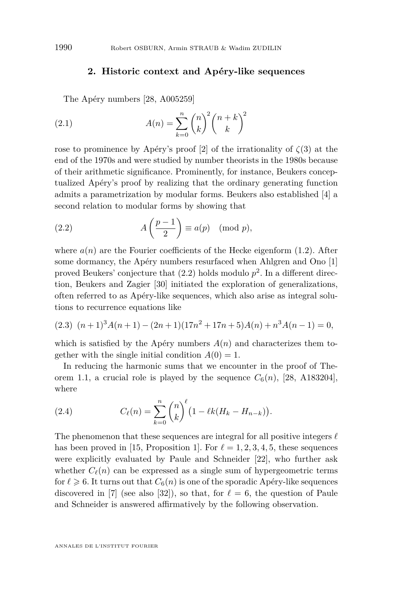#### <span id="page-4-3"></span>**2. Historic context and Apéry-like sequences**

<span id="page-4-0"></span>The Apéry numbers [\[28,](#page-17-13) A005259]

(2.1) 
$$
A(n) = \sum_{k=0}^{n} {n \choose k}^{2} {n+k \choose k}^{2}
$$

rose to prominence by Apéry's proof [\[2\]](#page-16-3) of the irrationality of *ζ*(3) at the end of the 1970s and were studied by number theorists in the 1980s because of their arithmetic significance. Prominently, for instance, Beukers conceptualized Apéry's proof by realizing that the ordinary generating function admits a parametrization by modular forms. Beukers also established [\[4\]](#page-16-4) a second relation to modular forms by showing that

<span id="page-4-1"></span>(2.2) 
$$
A\left(\frac{p-1}{2}\right) \equiv a(p) \pmod{p},
$$

where  $a(n)$  are the Fourier coefficients of the Hecke eigenform  $(1.2)$ . After some dormancy, the Apéry numbers resurfaced when Ahlgren and Ono [\[1\]](#page-16-5) proved Beukers' conjecture that [\(2.2\)](#page-4-1) holds modulo *p* 2 . In a different direction, Beukers and Zagier [\[30\]](#page-17-14) initiated the exploration of generalizations, often referred to as Apéry-like sequences, which also arise as integral solutions to recurrence equations like

<span id="page-4-2"></span>
$$
(2.3) (n+1)3A(n+1) - (2n+1)(17n2 + 17n + 5)A(n) + n3A(n-1) = 0,
$$

which is satisfied by the Apéry numbers  $A(n)$  and characterizes them together with the single initial condition  $A(0) = 1$ .

In reducing the harmonic sums that we encounter in the proof of The-orem [1.1,](#page-2-0) a crucial role is played by the sequence  $C_6(n)$ , [\[28,](#page-17-13) A183204], where

<span id="page-4-4"></span>(2.4) 
$$
C_{\ell}(n) = \sum_{k=0}^{n} {n \choose k}^{\ell} \left(1 - \ell k (H_k - H_{n-k})\right).
$$

The phenomenon that these sequences are integral for all positive integers  $\ell$ has been proved in [\[15,](#page-17-15) Proposition 1]. For  $\ell = 1, 2, 3, 4, 5$ , these sequences were explicitly evaluated by Paule and Schneider [\[22\]](#page-17-16), who further ask whether  $C_{\ell}(n)$  can be expressed as a single sum of hypergeometric terms for  $\ell \geq 6$ . It turns out that  $C_6(n)$  is one of the sporadic Apéry-like sequences discovered in [\[7\]](#page-16-6) (see also [\[32\]](#page-17-17)), so that, for  $\ell = 6$ , the question of Paule and Schneider is answered affirmatively by the following observation.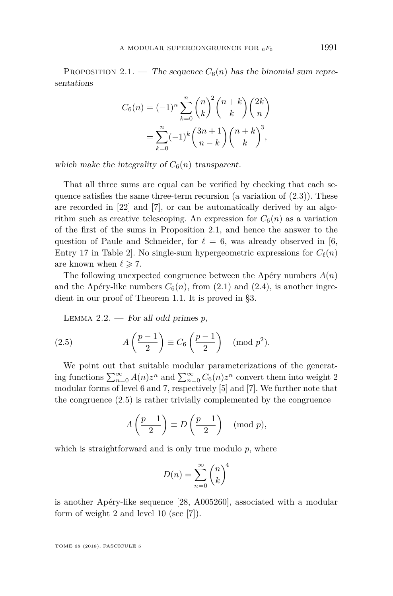<span id="page-5-0"></span>PROPOSITION 2.1. — The sequence  $C_6(n)$  has the binomial sum representations

$$
C_6(n) = (-1)^n \sum_{k=0}^n {n \choose k}^2 {n+k \choose k} {2k \choose n}
$$
  
= 
$$
\sum_{k=0}^n (-1)^k {3n+1 \choose n-k} {n+k \choose k}^3,
$$

which make the integrality of  $C_6(n)$  transparent.

That all three sums are equal can be verified by checking that each sequence satisfies the same three-term recursion (a variation of  $(2.3)$ ). These are recorded in [\[22\]](#page-17-16) and [\[7\]](#page-16-6), or can be automatically derived by an algorithm such as creative telescoping. An expression for  $C_6(n)$  as a variation of the first of the sums in Proposition [2.1,](#page-5-0) and hence the answer to the question of Paule and Schneider, for  $\ell = 6$ , was already observed in [\[6,](#page-16-7) Entry 17 in Table 2. No single-sum hypergeometric expressions for  $C_{\ell}(n)$ are known when  $\ell \geq 7$ .

The following unexpected congruence between the Apéry numbers *A*(*n*) and the Apéry-like numbers  $C_6(n)$ , from [\(2.1\)](#page-4-3) and [\(2.4\)](#page-4-4), is another ingredient in our proof of Theorem [1.1.](#page-2-0) It is proved in [§3.](#page-6-0)

<span id="page-5-2"></span><span id="page-5-1"></span>LEMMA  $2.2.$  — For all odd primes  $p$ ,

(2.5) 
$$
A\left(\frac{p-1}{2}\right) \equiv C_6\left(\frac{p-1}{2}\right) \pmod{p^2}.
$$

We point out that suitable modular parameterizations of the generating functions  $\sum_{n=0}^{\infty} A(n)z^n$  and  $\sum_{n=0}^{\infty} C_6(n)z^n$  convert them into weight 2 modular forms of level 6 and 7, respectively [\[5\]](#page-16-8) and [\[7\]](#page-16-6). We further note that the congruence [\(2.5\)](#page-5-1) is rather trivially complemented by the congruence

$$
A\left(\frac{p-1}{2}\right) \equiv D\left(\frac{p-1}{2}\right) \pmod{p},
$$

which is straightforward and is only true modulo *p*, where

$$
D(n) = \sum_{n=0}^{\infty} \binom{n}{k}^4
$$

is another Apéry-like sequence [\[28,](#page-17-13) A005260], associated with a modular form of weight 2 and level 10 (see [\[7\]](#page-16-6)).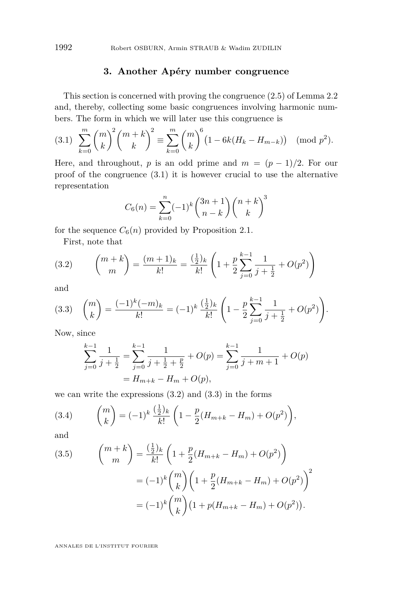#### **3. Another Apéry number congruence**

<span id="page-6-0"></span>This section is concerned with proving the congruence [\(2.5\)](#page-5-1) of Lemma [2.2](#page-5-2) and, thereby, collecting some basic congruences involving harmonic numbers. The form in which we will later use this congruence is

<span id="page-6-1"></span>
$$
(3.1) \sum_{k=0}^{m} {m \choose k}^2 {m+k \choose k}^2 \equiv \sum_{k=0}^{m} {m \choose k}^6 \left(1 - 6k(H_k - H_{m-k})\right) \pmod{p^2}.
$$

Here, and throughout, *p* is an odd prime and  $m = (p-1)/2$ . For our proof of the congruence [\(3.1\)](#page-6-1) it is however crucial to use the alternative representation

$$
C_6(n) = \sum_{k=0}^{n} (-1)^k {3n+1 \choose n-k} {n+k \choose k}^3
$$

for the sequence  $C_6(n)$  provided by Proposition [2.1.](#page-5-0)

<span id="page-6-2"></span>First, note that

(3.2) 
$$
{m+k \choose m} = \frac{(m+1)_k}{k!} = \frac{(\frac{1}{2})_k}{k!} \left(1 + \frac{p}{2} \sum_{j=0}^{k-1} \frac{1}{j + \frac{1}{2}} + O(p^2)\right)
$$

and

<span id="page-6-3"></span>
$$
(3.3) \quad \binom{m}{k} = \frac{(-1)^k (-m)_k}{k!} = (-1)^k \frac{\left(\frac{1}{2}\right)_k}{k!} \left(1 - \frac{p}{2} \sum_{j=0}^{k-1} \frac{1}{j + \frac{1}{2}} + O(p^2)\right).
$$

Now, since

$$
\sum_{j=0}^{k-1} \frac{1}{j + \frac{1}{2}} = \sum_{j=0}^{k-1} \frac{1}{j + \frac{1}{2} + \frac{p}{2}} + O(p) = \sum_{j=0}^{k-1} \frac{1}{j + m + 1} + O(p)
$$
  
=  $H_{m+k} - H_m + O(p)$ ,

we can write the expressions  $(3.2)$  and  $(3.3)$  in the forms

(3.4) 
$$
{m \choose k} = (-1)^k \frac{\left(\frac{1}{2}\right)_k}{k!} \left(1 - \frac{p}{2}(H_{m+k} - H_m) + O(p^2)\right),
$$

and

<span id="page-6-4"></span>(3.5) 
$$
\binom{m+k}{m} = \frac{\left(\frac{1}{2}\right)k}{k!} \left(1 + \frac{p}{2}(H_{m+k} - H_m) + O(p^2)\right)
$$

$$
= (-1)^k \binom{m}{k} \left(1 + \frac{p}{2}(H_{m+k} - H_m) + O(p^2)\right)^2
$$

$$
= (-1)^k \binom{m}{k} \left(1 + p(H_{m+k} - H_m) + O(p^2)\right).
$$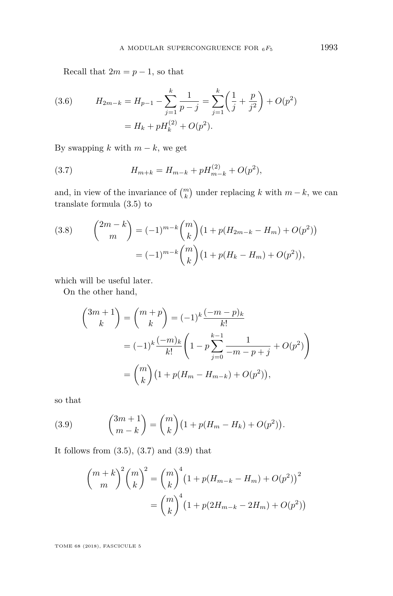Recall that  $2m = p - 1$ , so that

(3.6) 
$$
H_{2m-k} = H_{p-1} - \sum_{j=1}^{k} \frac{1}{p-j} = \sum_{j=1}^{k} \left(\frac{1}{j} + \frac{p}{j^2}\right) + O(p^2)
$$

$$
= H_k + pH_k^{(2)} + O(p^2).
$$

By swapping  $k$  with  $m - k$ , we get

<span id="page-7-0"></span>(3.7) 
$$
H_{m+k} = H_{m-k} + pH_{m-k}^{(2)} + O(p^2),
$$

and, in view of the invariance of  $\binom{m}{k}$  under replacing *k* with  $m - k$ , we can translate formula [\(3.5\)](#page-6-4) to

<span id="page-7-2"></span>(3.8) 
$$
{2m-k \choose m} = (-1)^{m-k} {m \choose k} (1 + p(H_{2m-k} - H_m) + O(p^2))
$$

$$
= (-1)^{m-k} {m \choose k} (1 + p(H_k - H_m) + O(p^2)),
$$

which will be useful later.

On the other hand,

$$
\binom{3m+1}{k} = \binom{m+p}{k} = (-1)^k \frac{(-m-p)_k}{k!}
$$

$$
= (-1)^k \frac{(-m)_k}{k!} \left(1 - p \sum_{j=0}^{k-1} \frac{1}{-m-p+j} + O(p^2)\right)
$$

$$
= \binom{m}{k} \left(1 + p(H_m - H_{m-k}) + O(p^2)\right),
$$

so that

<span id="page-7-1"></span>(3.9) 
$$
{3m+1 \choose m-k} = {m \choose k} (1+p(H_m - H_k) + O(p^2)).
$$

It follows from  $(3.5)$ ,  $(3.7)$  and  $(3.9)$  that

$$
{\binom{m+k}{m}}^2 {\binom{m}{k}}^2 = {\binom{m}{k}}^4 (1 + p(H_{m-k} - H_m) + O(p^2))^2
$$

$$
= {\binom{m}{k}}^4 (1 + p(2H_{m-k} - 2H_m) + O(p^2))
$$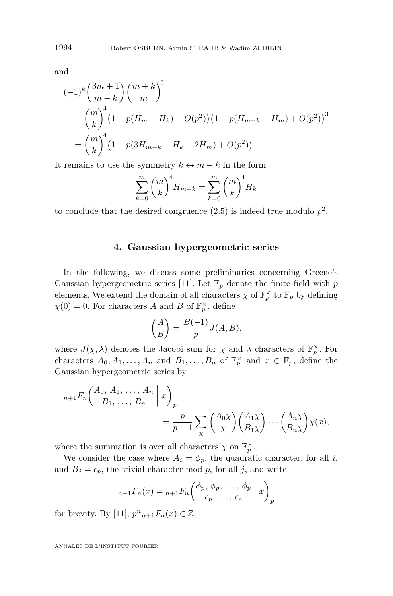and

$$
\begin{aligned} (-1)^k \binom{3m+1}{m-k} \binom{m+k}{m}^3 \\ &= \binom{m}{k}^4 \left(1 + p(H_m - H_k) + O(p^2)\right) \left(1 + p(H_{m-k} - H_m) + O(p^2)\right)^3 \\ &= \binom{m}{k}^4 \left(1 + p(3H_{m-k} - H_k - 2H_m) + O(p^2)\right). \end{aligned}
$$

It remains to use the symmetry  $k \leftrightarrow m - k$  in the form

$$
\sum_{k=0}^{m} {m \choose k}^{4} H_{m-k} = \sum_{k=0}^{m} {m \choose k}^{4} H_{k}
$$

to conclude that the desired congruence  $(2.5)$  is indeed true modulo  $p^2$ .

#### **4. Gaussian hypergeometric series**

<span id="page-8-0"></span>In the following, we discuss some preliminaries concerning Greene's Gaussian hypergeometric series [\[11\]](#page-17-18). Let  $\mathbb{F}_p$  denote the finite field with  $p$ elements. We extend the domain of all characters  $\chi$  of  $\mathbb{F}_p^{\times}$  to  $\mathbb{F}_p$  by defining  $\chi(0) = 0$ . For characters *A* and *B* of  $\mathbb{F}_p^{\times}$ , define

$$
\binom{A}{B} = \frac{B(-1)}{p} J(A, \bar{B}),
$$

where  $J(\chi, \lambda)$  denotes the Jacobi sum for  $\chi$  and  $\lambda$  characters of  $\mathbb{F}_p^{\times}$ . For characters  $A_0, A_1, \ldots, A_n$  and  $B_1, \ldots, B_n$  of  $\mathbb{F}_p^{\times}$  and  $x \in \mathbb{F}_p$ , define the Gaussian hypergeometric series by

$$
{}_{n+1}F_n\left(\begin{array}{c} A_0, A_1, \dots, A_n \ B_1, \dots, B_n \end{array} \bigg| \ x\right)_p
$$
  
= 
$$
\frac{p}{p-1} \sum_{\chi} \binom{A_0 \chi}{\chi} \binom{A_1 \chi}{B_1 \chi} \dots \binom{A_n \chi}{B_n \chi} \chi(x),
$$

where the summation is over all characters  $\chi$  on  $\mathbb{F}_p^{\times}$ .

We consider the case where  $A_i = \phi_p$ , the quadratic character, for all *i*, and  $B_j = \epsilon_p$ , the trivial character mod p, for all j, and write

$$
{}_{n+1}F_n(x) = {}_{n+1}F_n\left(\begin{matrix} \phi_p, \phi_p, \dots, \phi_p \\ \epsilon_p, \dots, \epsilon_p \end{matrix} \; \bigg| \; x\right)_p
$$

for brevity. By [\[11\]](#page-17-18),  $p^{n}{}_{n+1}F_{n}(x) \in \mathbb{Z}$ .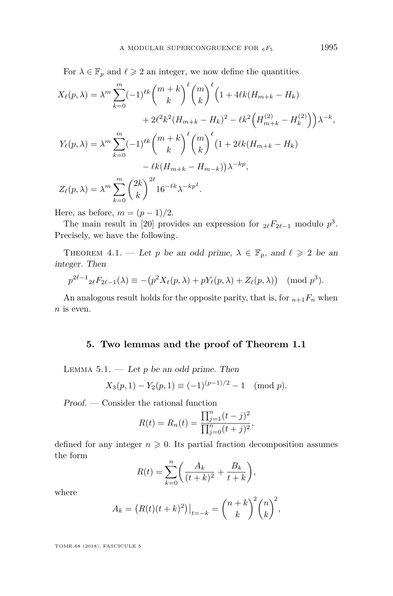For  $\lambda \in \mathbb{F}_p$  and  $\ell \geq 2$  an integer, we now define the quantities

$$
X_{\ell}(p,\lambda) = \lambda^{m} \sum_{k=0}^{m} (-1)^{\ell k} {m+k \choose k}^{\ell} {m \choose k}^{\ell} \left(1 + 4\ell k (H_{m+k} - H_k) \right.+ 2\ell^{2} k^{2} (H_{m+k} - H_k)^{2} - \ell k^{2} \left(H_{m+k}^{(2)} - H_k^{(2)}\right) \lambda^{-k},
$$
  

$$
Y_{\ell}(p,\lambda) = \lambda^{m} \sum_{k=0}^{m} (-1)^{\ell k} {m+k \choose k}^{\ell} {m \choose k}^{\ell} \left(1 + 2\ell k (H_{m+k} - H_k) \right.- \ell k (H_{m+k} - H_{m-k}) \lambda^{-kp},
$$
  

$$
Z_{\ell}(p,\lambda) = \lambda^{m} \sum_{k=0}^{m} {2k \choose k}^{2\ell} 16^{-\ell k} \lambda^{-kp^{2}}.
$$

Here, as before,  $m = (p-1)/2$ .

The main result in [\[20\]](#page-17-12) provides an expression for  $_{2\ell}F_{2\ell-1}$  modulo  $p^3$ . Precisely, we have the following.

<span id="page-9-1"></span>THEOREM 4.1. — Let *p* be an odd prime,  $\lambda \in \mathbb{F}_p$ , and  $\ell \geq 2$  be an integer. Then

$$
p^{2\ell-1} 2\ell F_{2\ell-1}(\lambda) \equiv -(p^2 X_\ell(p,\lambda) + p Y_\ell(p,\lambda) + Z_\ell(p,\lambda)) \pmod{p^3}.
$$

An analogous result holds for the opposite parity, that is, for  $n+1F_n$  when *n* is even.

#### **5. Two lemmas and the proof of Theorem [1.1](#page-2-0)**

<span id="page-9-2"></span><span id="page-9-0"></span>LEMMA  $5.1.$  — Let  $p$  be an odd prime. Then

$$
X_3(p,1) - Y_2(p,1) \equiv (-1)^{(p-1)/2} - 1 \pmod{p}.
$$

Proof. — Consider the rational function

$$
R(t) = R_n(t) = \frac{\prod_{j=1}^n (t-j)^2}{\prod_{j=0}^n (t+j)^2},
$$

defined for any integer  $n \geq 0$ . Its partial fraction decomposition assumes the form

$$
R(t) = \sum_{k=0}^{n} \left( \frac{A_k}{(t+k)^2} + \frac{B_k}{t+k} \right),
$$

where

$$
A_k = (R(t)(t+k)^2)|_{t=-k} = {n+k \choose k}^2 {n \choose k}^2,
$$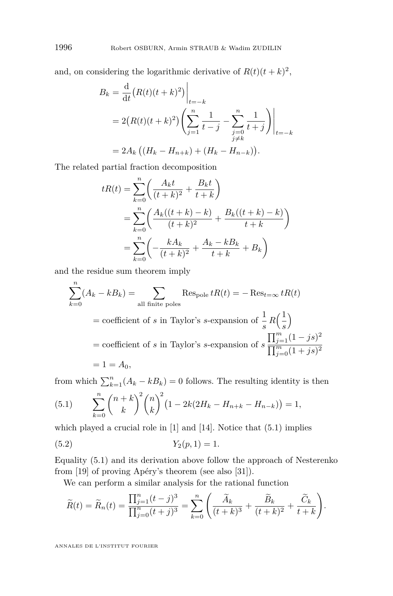and, on considering the logarithmic derivative of  $R(t)(t+k)^2$ ,

$$
B_k = \frac{d}{dt} (R(t)(t+k)^2) \Big|_{t=-k}
$$
  
=  $2(R(t)(t+k)^2) \left( \sum_{j=1}^n \frac{1}{t-j} - \sum_{\substack{j=0 \ j \neq k}}^n \frac{1}{t+j} \right) \Big|_{t=-k}$   
=  $2A_k ((H_k - H_{n+k}) + (H_k - H_{n-k})).$ 

The related partial fraction decomposition

$$
tR(t) = \sum_{k=0}^{n} \left( \frac{A_k t}{(t+k)^2} + \frac{B_k t}{t+k} \right)
$$
  
= 
$$
\sum_{k=0}^{n} \left( \frac{A_k((t+k) - k)}{(t+k)^2} + \frac{B_k((t+k) - k)}{t+k} \right)
$$
  
= 
$$
\sum_{k=0}^{n} \left( -\frac{kA_k}{(t+k)^2} + \frac{A_k - kB_k}{t+k} + B_k \right)
$$

and the residue sum theorem imply

$$
\sum_{k=0}^{n} (A_k - kB_k) = \sum_{\text{all finite poles}} \text{Res}_{\text{pole}} tR(t) = -\text{Res}_{t=\infty} tR(t)
$$
  
= coefficient of *s* in Taylor's *s*-expansion of  $\frac{1}{s} R(\frac{1}{s})$   
= coefficient of *s* in Taylor's *s*-expansion of  $s \frac{\prod_{j=1}^{m} (1 - js)^2}{\prod_{j=0}^{m} (1 + js)^2}$   
= 1 = *A*<sub>0</sub>,

from which  $\sum_{k=1}^{n} (A_k - kB_k) = 0$  follows. The resulting identity is then

<span id="page-10-0"></span>(5.1) 
$$
\sum_{k=0}^{n} {n+k \choose k}^2 {n \choose k}^2 (1-2k(2H_k-H_{n+k}-H_{n-k}))=1,
$$

which played a crucial role in [\[1\]](#page-16-5) and [\[14\]](#page-17-0). Notice that [\(5.1\)](#page-10-0) implies

$$
(5.2) \t Y2(p,1) = 1.
$$

Equality [\(5.1\)](#page-10-0) and its derivation above follow the approach of Nesterenko from [\[19\]](#page-17-9) of proving Apéry's theorem (see also [\[31\]](#page-17-11)).

<span id="page-10-1"></span>We can perform a similar analysis for the rational function

$$
\widetilde{R}(t) = \widetilde{R}_n(t) = \frac{\prod_{j=1}^n (t-j)^3}{\prod_{j=0}^n (t+j)^3} = \sum_{k=0}^n \left( \frac{\widetilde{A}_k}{(t+k)^3} + \frac{\widetilde{B}_k}{(t+k)^2} + \frac{\widetilde{C}_k}{t+k} \right).
$$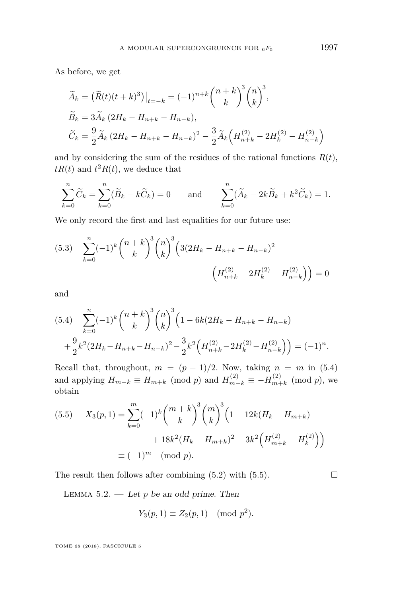As before, we get

$$
\widetilde{A}_k = \left( \widetilde{R}(t)(t+k)^3 \right) \Big|_{t=-k} = (-1)^{n+k} \binom{n+k}{k}^3 \binom{n}{k}^3,
$$
\n
$$
\widetilde{B}_k = 3 \widetilde{A}_k (2H_k - H_{n+k} - H_{n-k}),
$$
\n
$$
\widetilde{C}_k = \frac{9}{2} \widetilde{A}_k (2H_k - H_{n+k} - H_{n-k})^2 - \frac{3}{2} \widetilde{A}_k \left( H_{n+k}^{(2)} - 2H_k^{(2)} - H_{n-k}^{(2)} \right)
$$

and by considering the sum of the residues of the rational functions  $R(t)$ ,  $tR(t)$  and  $t^2R(t)$ , we deduce that

$$
\sum_{k=0}^{n} \widetilde{C}_k = \sum_{k=0}^{n} (\widetilde{B}_k - k\widetilde{C}_k) = 0 \quad \text{and} \quad \sum_{k=0}^{n} (\widetilde{A}_k - 2k\widetilde{B}_k + k^2\widetilde{C}_k) = 1.
$$

We only record the first and last equalities for our future use:

<span id="page-11-2"></span>
$$
(5.3) \quad \sum_{k=0}^{n} (-1)^{k} {n+k \choose k}^{3} {n \choose k}^{3} \left(3(2H_{k} - H_{n+k} - H_{n-k})^{2} - \left(H_{n+k}^{(2)} - 2H_{k}^{(2)} - H_{n-k}^{(2)}\right)\right) = 0
$$

and

<span id="page-11-0"></span>
$$
(5.4) \sum_{k=0}^{n} (-1)^{k} {n+k \choose k}^{3} {n \choose k}^{3} \left(1 - 6k(2H_{k} - H_{n+k} - H_{n-k})\right)
$$

$$
+ \frac{9}{2}k^{2}(2H_{k} - H_{n+k} - H_{n-k})^{2} - \frac{3}{2}k^{2}\left(H_{n+k}^{(2)} - 2H_{k}^{(2)} - H_{n-k}^{(2)}\right) = (-1)^{n}.
$$

Recall that, throughout,  $m = (p - 1)/2$ . Now, taking  $n = m$  in [\(5.4\)](#page-11-0) and applying  $H_{m-k} \equiv H_{m+k} \pmod{p}$  and  $H_{m-k}^{(2)} \equiv -H_{m+k}^{(2)}$  $\binom{p}{m+k}$  (mod *p*), we obtain

<span id="page-11-1"></span>(5.5) 
$$
X_3(p, 1) = \sum_{k=0}^{m} (-1)^k {m+k \choose k}^3 {m \choose k}^3 \left(1 - 12k(H_k - H_{m+k}) + 18k^2(H_k - H_{m+k})^2 - 3k^2 \left(H_{m+k}^{(2)} - H_k^{(2)}\right)\right)
$$

$$
\equiv (-1)^m \pmod{p}.
$$

The result then follows after combining  $(5.2)$  with  $(5.5)$ .

<span id="page-11-3"></span>LEMMA  $5.2.$  — Let  $p$  be an odd prime. Then

$$
Y_3(p,1) \equiv Z_2(p,1) \pmod{p^2}.
$$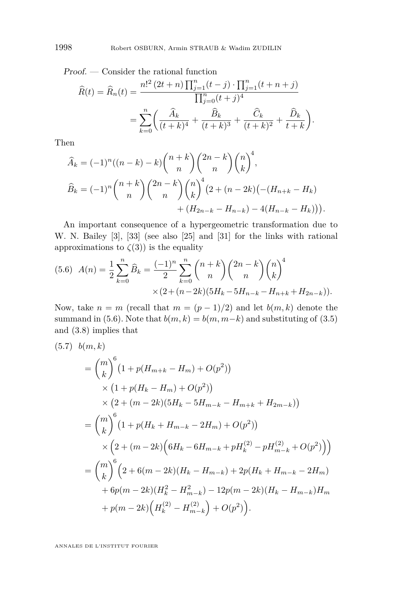Proof. — Consider the rational function

$$
\widehat{R}(t) = \widehat{R}_n(t) = \frac{n!^2 (2t + n) \prod_{j=1}^n (t - j) \cdot \prod_{j=1}^n (t + n + j)}{\prod_{j=0}^n (t + j)^4}
$$

$$
= \sum_{k=0}^n \left( \frac{\widehat{A}_k}{(t + k)^4} + \frac{\widehat{B}_k}{(t + k)^3} + \frac{\widehat{C}_k}{(t + k)^2} + \frac{\widehat{D}_k}{t + k} \right).
$$

Then

$$
\widehat{A}_k = (-1)^n ((n-k) - k) \binom{n+k}{n} \binom{2n-k}{n} \binom{n}{k}^4,
$$
  

$$
\widehat{B}_k = (-1)^n \binom{n+k}{n} \binom{2n-k}{n} \binom{n}{k}^4 (2 + (n-2k) (-(H_{n+k} - H_k) + (H_{2n-k} - H_{n-k}) - 4(H_{n-k} - H_k))).
$$

An important consequence of a hypergeometric transformation due to W. N. Bailey [\[3\]](#page-16-9), [\[33\]](#page-17-19) (see also [\[25\]](#page-17-10) and [\[31\]](#page-17-11) for the links with rational approximations to  $\zeta(3)$  is the equality

<span id="page-12-0"></span>
$$
(5.6) \quad A(n) = \frac{1}{2} \sum_{k=0}^{n} \widehat{B}_k = \frac{(-1)^n}{2} \sum_{k=0}^{n} {n+k \choose n} {2n-k \choose n} {n \choose k}^4
$$

$$
\times (2 + (n-2k)(5H_k - 5H_{n-k} - H_{n+k} + H_{2n-k})).
$$

Now, take  $n = m$  (recall that  $m = (p - 1)/2$ ) and let  $b(m, k)$  denote the summand in [\(5.6\)](#page-12-0). Note that  $b(m, k) = b(m, m-k)$  and substituting of [\(3.5\)](#page-6-4) and [\(3.8\)](#page-7-2) implies that

<span id="page-12-1"></span>
$$
(5.7) b(m,k)
$$
  
=  $\binom{m}{k}^{6} (1 + p(H_{m+k} - H_m) + O(p^2))$   
 $\times (1 + p(H_k - H_m) + O(p^2))$   
 $\times (2 + (m - 2k)(5H_k - 5H_{m-k} - H_{m+k} + H_{2m-k}))$   
=  $\binom{m}{k}^{6} (1 + p(H_k + H_{m-k} - 2H_m) + O(p^2))$   
 $\times (2 + (m - 2k)(6H_k - 6H_{m-k} + pH_k^{(2)} - pH_{m-k}^{(2)} + O(p^2)))$   
=  $\binom{m}{k}^{6} (2 + 6(m - 2k)(H_k - H_{m-k}) + 2p(H_k + H_{m-k} - 2H_m) + 6p(m - 2k)(H_k^2 - H_{m-k}^2) - 12p(m - 2k)(H_k - H_{m-k})H_m + p(m - 2k)\left(H_k^{(2)} - H_{m-k}^{(2)}\right) + O(p^2)).$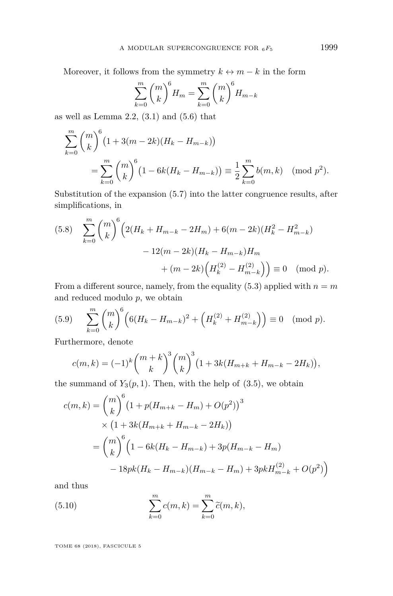Moreover, it follows from the symmetry  $k \leftrightarrow m - k$  in the form

$$
\sum_{k=0}^{m} {m \choose k}^{6} H_{m} = \sum_{k=0}^{m} {m \choose k}^{6} H_{m-k}
$$

as well as Lemma  $2.2$ ,  $(3.1)$  and  $(5.6)$  that

$$
\sum_{k=0}^{m} {m \choose k}^{6} (1 + 3(m - 2k)(H_k - H_{m-k}))
$$
  
= 
$$
\sum_{k=0}^{m} {m \choose k}^{6} (1 - 6k(H_k - H_{m-k})) \equiv \frac{1}{2} \sum_{k=0}^{m} b(m, k) \pmod{p^2}.
$$

Substitution of the expansion [\(5.7\)](#page-12-1) into the latter congruence results, after simplifications, in

<span id="page-13-1"></span>
$$
(5.8) \sum_{k=0}^{m} {m \choose k}^{6} \left( 2(H_k + H_{m-k} - 2H_m) + 6(m - 2k)(H_k^2 - H_{m-k}^2) - 12(m - 2k)(H_k - H_{m-k})H_m + (m - 2k) \left( H_k^{(2)} - H_{m-k}^{(2)} \right) \right) \equiv 0 \pmod{p}.
$$

From a different source, namely, from the equality  $(5.3)$  applied with  $n = m$ and reduced modulo *p*, we obtain

<span id="page-13-2"></span>(5.9) 
$$
\sum_{k=0}^{m} {m \choose k}^{6} \left( 6(H_{k} - H_{m-k})^{2} + \left( H_{k}^{(2)} + H_{m-k}^{(2)} \right) \right) \equiv 0 \pmod{p}.
$$

Furthermore, denote

$$
c(m,k) = (-1)^k {m+k \choose k}^3 {m \choose k}^3 \left(1 + 3k(H_{m+k} + H_{m-k} - 2H_k)\right),
$$

the summand of  $Y_3(p, 1)$ . Then, with the help of  $(3.5)$ , we obtain

$$
c(m,k) = {m \choose k}^{6} (1 + p(H_{m+k} - H_m) + O(p^2))^{3}
$$
  
× (1 + 3k(H\_{m+k} + H\_{m-k} - 2H\_k))  
=  ${m \choose k}^{6} (1 - 6k(H_k - H_{m-k}) + 3p(H_{m-k} - H_m)$   
- 18pk(H<sub>k</sub> - H<sub>m-k</sub>)(H<sub>m-k</sub> - H<sub>m</sub>) + 3pkH<sub>m-k</sub><sup>(2)</sup> + O(p<sup>2</sup>)

and thus

<span id="page-13-0"></span>(5.10) 
$$
\sum_{k=0}^{m} c(m, k) = \sum_{k=0}^{m} \widetilde{c}(m, k),
$$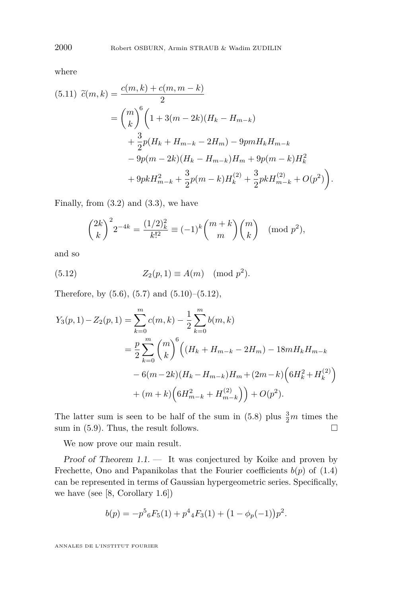where

$$
(5.11) \quad \widetilde{c}(m,k) = \frac{c(m,k) + c(m,m-k)}{2}
$$
  
=  $\binom{m}{k}^6 \left( 1 + 3(m-2k)(H_k - H_{m-k}) + \frac{3}{2}p(H_k + H_{m-k} - 2H_m) - 9pmH_kH_{m-k} - 9p(m-2k)(H_k - H_{m-k})H_m + 9p(m-k)H_k^2 + 9pkH_{m-k}^2 + \frac{3}{2}p(m-k)H_k^{(2)} + \frac{3}{2}pkH_{m-k}^{(2)} + O(p^2) \right).$ 

Finally, from  $(3.2)$  and  $(3.3)$ , we have

<span id="page-14-0"></span>
$$
{2k \choose k}^2 2^{-4k} = \frac{(1/2)_k^2}{k!^2} \equiv (-1)^k {m+k \choose m} {m \choose k} \pmod{p^2},
$$

and so

(5.12) 
$$
Z_2(p,1) \equiv A(m) \pmod{p^2}.
$$

Therefore, by  $(5.6)$ ,  $(5.7)$  and  $(5.10)$ – $(5.12)$ ,

$$
Y_3(p,1) - Z_2(p,1) = \sum_{k=0}^m c(m,k) - \frac{1}{2} \sum_{k=0}^m b(m,k)
$$
  
=  $\frac{p}{2} \sum_{k=0}^m {m \choose k}^6 ((H_k + H_{m-k} - 2H_m) - 18mH_kH_{m-k}$   
-  $6(m-2k)(H_k - H_{m-k})H_m + (2m-k)(6H_k^2 + H_k^{(2)})$   
+  $(m+k)(6H_{m-k}^2 + H_{m-k}^{(2)}) + O(p^2).$ 

The latter sum is seen to be half of the sum in  $(5.8)$  plus  $\frac{3}{2}m$  times the sum in [\(5.9\)](#page-13-2). Thus, the result follows.  $\square$ 

We now prove our main result.

Proof of Theorem  $1.1.$  — It was conjectured by Koike and proven by Frechette, Ono and Papanikolas that the Fourier coefficients  $b(p)$  of [\(1.4\)](#page-2-2) can be represented in terms of Gaussian hypergeometric series. Specifically, we have (see [\[8,](#page-16-2) Corollary 1.6])

$$
b(p) = -p5 {}_{6}F_{5}(1) + p4 {}_{4}F_{3}(1) + (1 - \phi_{p}(-1))p2.
$$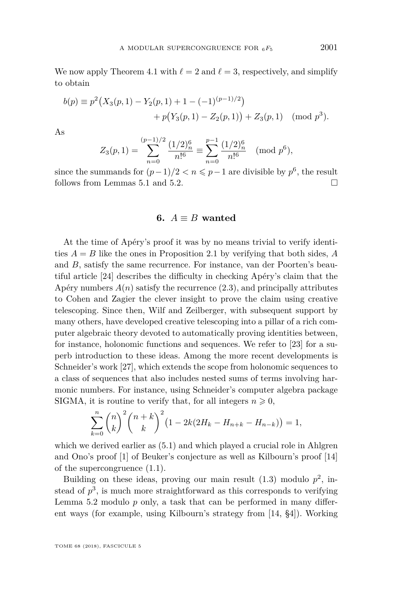We now apply Theorem [4.1](#page-9-1) with  $\ell = 2$  and  $\ell = 3$ , respectively, and simplify to obtain

$$
b(p) \equiv p^2 \big(X_3(p, 1) - Y_2(p, 1) + 1 - (-1)^{(p-1)/2}\big) + p\big(Y_3(p, 1) - Z_2(p, 1)\big) + Z_3(p, 1) \pmod{p^3}.
$$

As

$$
Z_3(p,1) = \sum_{n=0}^{(p-1)/2} \frac{(1/2)_n^6}{n!^6} \equiv \sum_{n=0}^{p-1} \frac{(1/2)_n^6}{n!^6} \pmod{p^6},
$$

since the summands for  $(p-1)/2 < n \leqslant p-1$  are divisible by  $p^6$ , the result follows from Lemmas [5.1](#page-9-2) and [5.2.](#page-11-3)

#### **6.**  $A \equiv B$  wanted

<span id="page-15-0"></span>At the time of Apéry's proof it was by no means trivial to verify identities  $A = B$  like the ones in Proposition [2.1](#page-5-0) by verifying that both sides,  $A$ and *B*, satisfy the same recurrence. For instance, van der Poorten's beautiful article [\[24\]](#page-17-20) describes the difficulty in checking Apéry's claim that the Apéry numbers  $A(n)$  satisfy the recurrence  $(2.3)$ , and principally attributes to Cohen and Zagier the clever insight to prove the claim using creative telescoping. Since then, Wilf and Zeilberger, with subsequent support by many others, have developed creative telescoping into a pillar of a rich computer algebraic theory devoted to automatically proving identities between, for instance, holonomic functions and sequences. We refer to [\[23\]](#page-17-21) for a superb introduction to these ideas. Among the more recent developments is Schneider's work [\[27\]](#page-17-22), which extends the scope from holonomic sequences to a class of sequences that also includes nested sums of terms involving harmonic numbers. For instance, using Schneider's computer algebra package SIGMA, it is routine to verify that, for all integers  $n \geq 0$ ,

$$
\sum_{k=0}^{n} {n \choose k}^2 {n+k \choose k}^2 (1 - 2k(2H_k - H_{n+k} - H_{n-k})) = 1,
$$

which we derived earlier as  $(5.1)$  and which played a crucial role in Ahlgren and Ono's proof [\[1\]](#page-16-5) of Beuker's conjecture as well as Kilbourn's proof [\[14\]](#page-17-0) of the supercongruence [\(1.1\)](#page-1-0).

Building on these ideas, proving our main result  $(1.3)$  modulo  $p^2$ , instead of  $p^3$ , is much more straightforward as this corresponds to verifying Lemma [5.2](#page-11-3) modulo *p* only, a task that can be performed in many different ways (for example, using Kilbourn's strategy from [\[14,](#page-17-0) §4]). Working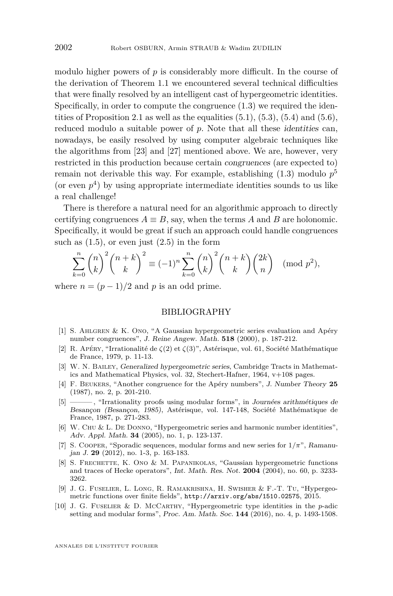modulo higher powers of  $p$  is considerably more difficult. In the course of the derivation of Theorem [1.1](#page-2-0) we encountered several technical difficulties that were finally resolved by an intelligent cast of hypergeometric identities. Specifically, in order to compute the congruence [\(1.3\)](#page-2-1) we required the iden-tities of Proposition [2.1](#page-5-0) as well as the equalities  $(5.1)$ ,  $(5.3)$ ,  $(5.4)$  and  $(5.6)$ , reduced modulo a suitable power of  $p$ . Note that all these *identities* can, nowadays, be easily resolved by using computer algebraic techniques like the algorithms from [\[23\]](#page-17-21) and [\[27\]](#page-17-22) mentioned above. We are, however, very restricted in this production because certain congruences (are expected to) remain not derivable this way. For example, establishing [\(1.3\)](#page-2-1) modulo *p* 5 (or even  $p<sup>4</sup>$ ) by using appropriate intermediate identities sounds to us like a real challenge!

There is therefore a natural need for an algorithmic approach to directly certifying congruences  $A \equiv B$ , say, when the terms *A* and *B* are holonomic. Specifically, it would be great if such an approach could handle congruences such as  $(1.5)$ , or even just  $(2.5)$  in the form

$$
\sum_{k=0}^{n} \binom{n}{k}^2 \binom{n+k}{k}^2 \equiv (-1)^n \sum_{k=0}^{n} \binom{n}{k}^2 \binom{n+k}{k} \binom{2k}{n} \pmod{p^2},
$$

where  $n = (p-1)/2$  and p is an odd prime.

#### BIBLIOGRAPHY

- <span id="page-16-5"></span>[1] S. Ahlgren & K. Ono, "A Gaussian hypergeometric series evaluation and Apéry number congruences", J. Reine Angew. Math. **518** (2000), p. 187-212.
- <span id="page-16-3"></span>[2] R. Apéry, "Irrationalité de *ζ*(2) et *ζ*(3)", Astérisque, vol. 61, Société Mathématique de France, 1979, p. 11-13.
- <span id="page-16-9"></span>[3] W. N. Bailey, Generalized hypergeometric series, Cambridge Tracts in Mathematics and Mathematical Physics, vol. 32, Stechert-Hafner, 1964, v+108 pages.
- <span id="page-16-4"></span>[4] F. Beukers, "Another congruence for the Apéry numbers", J. Number Theory **25** (1987), no. 2, p. 201-210.
- <span id="page-16-8"></span>[5] ——— , "Irrationality proofs using modular forms", in Journées arithmétiques de Besançon (Besançon, 1985), Astérisque, vol. 147-148, Société Mathématique de France, 1987, p. 271-283.
- <span id="page-16-7"></span>[6] W. Chu & L. De Donno, "Hypergeometric series and harmonic number identities", Adv. Appl. Math. **34** (2005), no. 1, p. 123-137.
- <span id="page-16-6"></span>[7] S. Cooper, "Sporadic sequences, modular forms and new series for 1*/π*", Ramanujan J. **29** (2012), no. 1-3, p. 163-183.
- <span id="page-16-2"></span>[8] S. Frechette, K. Ono & M. Papanikolas, "Gaussian hypergeometric functions and traces of Hecke operators", Int. Math. Res. Not. **2004** (2004), no. 60, p. 3233- 3262.
- <span id="page-16-1"></span>[9] J. G. Fuselier, L. Long, R. Ramakrishna, H. Swisher & F.-T. Tu, "Hypergeometric functions over finite fields", <http://arxiv.org/abs/1510.02575>, 2015.
- <span id="page-16-0"></span>[10] J. G. Fuselier & D. McCarthy, "Hypergeometric type identities in the *p*-adic setting and modular forms", Proc. Am. Math. Soc. **144** (2016), no. 4, p. 1493-1508.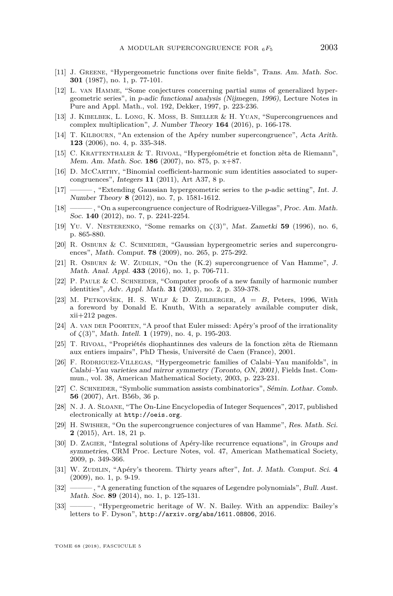- <span id="page-17-18"></span>[11] J. Greene, "Hypergeometric functions over finite fields", Trans. Am. Math. Soc. **301** (1987), no. 1, p. 77-101.
- <span id="page-17-5"></span>[12] L. van Hamme, "Some conjectures concerning partial sums of generalized hypergeometric series", in *p*-adic functional analysis (Nijmegen, 1996), Lecture Notes in Pure and Appl. Math., vol. 192, Dekker, 1997, p. 223-236.
- <span id="page-17-6"></span>[13] J. Kibelbek, L. Long, K. Moss, B. Sheller & H. Yuan, "Supercongruences and complex multiplication", J. Number Theory **164** (2016), p. 166-178.
- <span id="page-17-0"></span>[14] T. Kilbourn, "An extension of the Apéry number supercongruence", Acta Arith. **123** (2006), no. 4, p. 335-348.
- <span id="page-17-15"></span>[15] C. Krattenthaler & T. Rivoal, "Hypergéométrie et fonction zêta de Riemann", Mem. Am. Math. Soc. **186** (2007), no. 875, p. x+87.
- <span id="page-17-3"></span>[16] D. McCarthy, "Binomial coefficient-harmonic sum identities associated to supercongruences", Integers **11** (2011), Art A37, 8 p.
- <span id="page-17-4"></span>[17] ——— , "Extending Gaussian hypergeometric series to the *p*-adic setting", Int. J. Number Theory **8** (2012), no. 7, p. 1581-1612.
- <span id="page-17-2"></span>[18] ——— , "On a supercongruence conjecture of Rodriguez-Villegas", Proc. Am. Math. Soc. **140** (2012), no. 7, p. 2241-2254.
- <span id="page-17-9"></span>[19] Yu. V. Nesterenko, "Some remarks on *ζ*(3)", Mat. Zametki **59** (1996), no. 6, p. 865-880.
- <span id="page-17-12"></span>[20] R. Osburn & C. Schneider, "Gaussian hypergeometric series and supercongruences", Math. Comput. **78** (2009), no. 265, p. 275-292.
- <span id="page-17-7"></span>[21] R. OSBURN & W. ZUDILIN, "On the  $(K.2)$  supercongruence of Van Hamme", J. Math. Anal. Appl. **433** (2016), no. 1, p. 706-711.
- <span id="page-17-16"></span>[22] P. Paule & C. Schneider, "Computer proofs of a new family of harmonic number identities", Adv. Appl. Math. **31** (2003), no. 2, p. 359-378.
- <span id="page-17-21"></span>[23] M. Petkovšek, H. S. Wilf & D. Zeilberger, *A* = *B*, Peters, 1996, With a foreword by Donald E. Knuth, With a separately available computer disk, xii+212 pages.
- <span id="page-17-20"></span>[24] A. VAN DER POORTEN, "A proof that Euler missed: Apéry's proof of the irrationality of *ζ*(3)", Math. Intell. **1** (1979), no. 4, p. 195-203.
- <span id="page-17-10"></span>[25] T. Rivoal, "Propriétés diophantinnes des valeurs de la fonction zêta de Riemann aux entiers impairs", PhD Thesis, Université de Caen (France), 2001.
- <span id="page-17-1"></span>[26] F. Rodriguez-Villegas, "Hypergeometric families of Calabi–Yau manifolds", in Calabi–Yau varieties and mirror symmetry (Toronto, ON, 2001), Fields Inst. Commun., vol. 38, American Mathematical Society, 2003, p. 223-231.
- <span id="page-17-22"></span>[27] C. SCHNEIDER, "Symbolic summation assists combinatorics", Sémin. Lothar. Comb. **56** (2007), Art. B56b, 36 p.
- <span id="page-17-13"></span>[28] N. J. A. Sloane, "The On-Line Encyclopedia of Integer Sequences", 2017, published electronically at <http://oeis.org>.
- <span id="page-17-8"></span>[29] H. Swisher, "On the supercongruence conjectures of van Hamme", Res. Math. Sci. **2** (2015), Art. 18, 21 p.
- <span id="page-17-14"></span>[30] D. ZAGIER, "Integral solutions of Apéry-like recurrence equations", in Groups and symmetries, CRM Proc. Lecture Notes, vol. 47, American Mathematical Society, 2009, p. 349-366.
- <span id="page-17-11"></span>[31] W. Zudilin, "Apéry's theorem. Thirty years after", Int. J. Math. Comput. Sci. **4** (2009), no. 1, p. 9-19.
- <span id="page-17-17"></span>[32]  $\longrightarrow$ , "A generating function of the squares of Legendre polynomials", Bull. Aust. Math. Soc. **89** (2014), no. 1, p. 125-131.
- <span id="page-17-19"></span>[33] ——— , "Hypergeometric heritage of W. N. Bailey. With an appendix: Bailey's letters to F. Dyson", <http://arxiv.org/abs/1611.08806>, 2016.